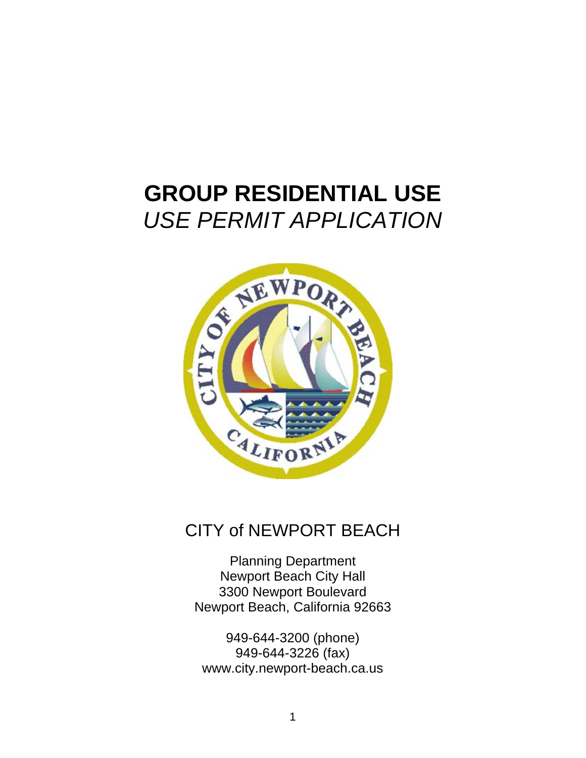# **GROUP RESIDENTIAL USE**  *USE PERMIT APPLICATION*



## CITY of NEWPORT BEACH

Planning Department Newport Beach City Hall 3300 Newport Boulevard Newport Beach, California 92663

949-644-3200 (phone) 949-644-3226 (fax) www.city.newport-beach.ca.us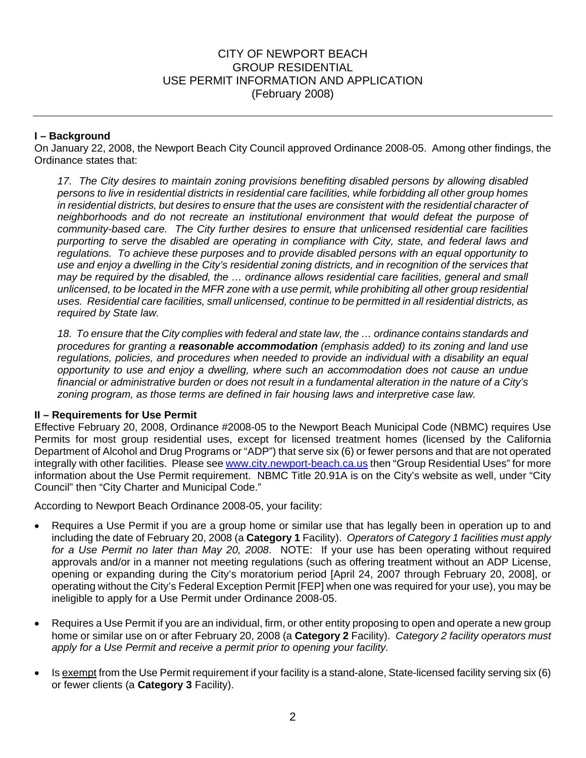## CITY OF NEWPORT BEACH GROUP RESIDENTIAL USE PERMIT INFORMATION AND APPLICATION (February 2008)

## **I – Background**

On January 22, 2008, the Newport Beach City Council approved Ordinance 2008-05. Among other findings, the Ordinance states that:

*17. The City desires to maintain zoning provisions benefiting disabled persons by allowing disabled persons to live in residential districts in residential care facilities, while forbidding all other group homes in residential districts, but desires to ensure that the uses are consistent with the residential character of neighborhoods and do not recreate an institutional environment that would defeat the purpose of community-based care. The City further desires to ensure that unlicensed residential care facilities purporting to serve the disabled are operating in compliance with City, state, and federal laws and regulations. To achieve these purposes and to provide disabled persons with an equal opportunity to use and enjoy a dwelling in the City's residential zoning districts, and in recognition of the services that may be required by the disabled, the … ordinance allows residential care facilities, general and small unlicensed, to be located in the MFR zone with a use permit, while prohibiting all other group residential uses. Residential care facilities, small unlicensed, continue to be permitted in all residential districts, as required by State law.* 

18. To ensure that the City complies with federal and state law, the ... ordinance contains standards and *procedures for granting a reasonable accommodation (emphasis added) to its zoning and land use regulations, policies, and procedures when needed to provide an individual with a disability an equal opportunity to use and enjoy a dwelling, where such an accommodation does not cause an undue financial or administrative burden or does not result in a fundamental alteration in the nature of a City's zoning program, as those terms are defined in fair housing laws and interpretive case law.* 

## **II – Requirements for Use Permit**

Effective February 20, 2008, Ordinance #2008-05 to the Newport Beach Municipal Code (NBMC) requires Use Permits for most group residential uses, except for licensed treatment homes (licensed by the California Department of Alcohol and Drug Programs or "ADP") that serve six (6) or fewer persons and that are not operated integrally with other facilities. Please see [www.city.newport-beach.ca.us](http://www.city.newport-beach.ca.us/) then "Group Residential Uses" for more information about the Use Permit requirement. NBMC Title 20.91A is on the City's website as well, under "City Council" then "City Charter and Municipal Code."

According to Newport Beach Ordinance 2008-05, your facility:

- Requires a Use Permit if you are a group home or similar use that has legally been in operation up to and including the date of February 20, 2008 (a **Category 1** Facility). *Operators of Category 1 facilities must apply for a Use Permit no later than May 20, 2008*. NOTE: If your use has been operating without required approvals and/or in a manner not meeting regulations (such as offering treatment without an ADP License, opening or expanding during the City's moratorium period [April 24, 2007 through February 20, 2008], or operating without the City's Federal Exception Permit [FEP] when one was required for your use), you may be ineligible to apply for a Use Permit under Ordinance 2008-05.
- Requires a Use Permit if you are an individual, firm, or other entity proposing to open and operate a new group home or similar use on or after February 20, 2008 (a **Category 2** Facility). *Category 2 facility operators must apply for a Use Permit and receive a permit prior to opening your facility.*
- Is exempt from the Use Permit requirement if your facility is a stand-alone, State-licensed facility serving six (6) or fewer clients (a **Category 3** Facility).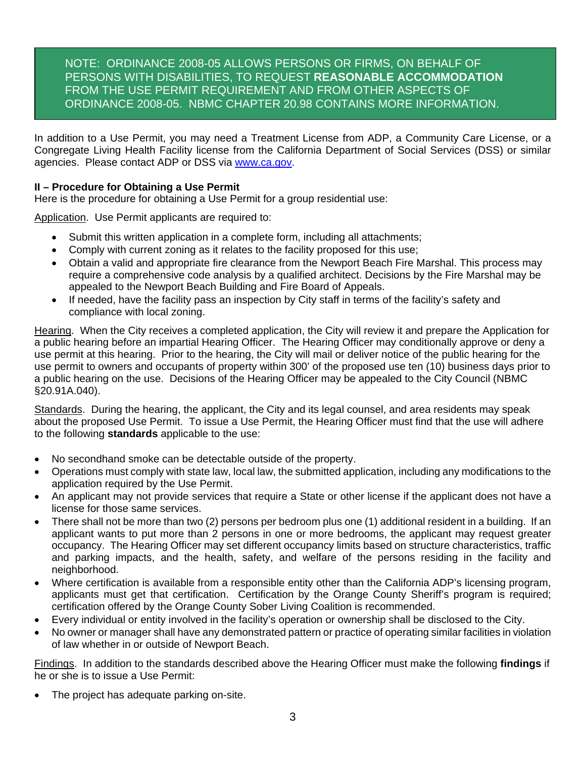## NOTE: ORDINANCE 2008-05 ALLOWS PERSONS OR FIRMS, ON BEHALF OF PERSONS WITH DISABILITIES, TO REQUEST **REASONABLE ACCOMMODATION** FROM THE USE PERMIT REQUIREMENT AND FROM OTHER ASPECTS OF ORDINANCE 2008-05. NBMC CHAPTER 20.98 CONTAINS MORE INFORMATION.

In addition to a Use Permit, you may need a Treatment License from ADP, a Community Care License, or a Congregate Living Health Facility license from the California Department of Social Services (DSS) or similar agencies. Please contact ADP or DSS via [www.ca.gov.](http://www.ca.gov/)

## **II – Procedure for Obtaining a Use Permit**

Here is the procedure for obtaining a Use Permit for a group residential use:

Application. Use Permit applicants are required to:

- Submit this written application in a complete form, including all attachments;
- Comply with current zoning as it relates to the facility proposed for this use;
- Obtain a valid and appropriate fire clearance from the Newport Beach Fire Marshal. This process may require a comprehensive code analysis by a qualified architect. Decisions by the Fire Marshal may be appealed to the Newport Beach Building and Fire Board of Appeals.
- If needed, have the facility pass an inspection by City staff in terms of the facility's safety and compliance with local zoning.

Hearing. When the City receives a completed application, the City will review it and prepare the Application for a public hearing before an impartial Hearing Officer. The Hearing Officer may conditionally approve or deny a use permit at this hearing. Prior to the hearing, the City will mail or deliver notice of the public hearing for the use permit to owners and occupants of property within 300' of the proposed use ten (10) business days prior to a public hearing on the use. Decisions of the Hearing Officer may be appealed to the City Council (NBMC §20.91A.040).

Standards. During the hearing, the applicant, the City and its legal counsel, and area residents may speak about the proposed Use Permit. To issue a Use Permit, the Hearing Officer must find that the use will adhere to the following **standards** applicable to the use:

- No secondhand smoke can be detectable outside of the property.
- Operations must comply with state law, local law, the submitted application, including any modifications to the application required by the Use Permit.
- An applicant may not provide services that require a State or other license if the applicant does not have a license for those same services.
- There shall not be more than two (2) persons per bedroom plus one (1) additional resident in a building. If an applicant wants to put more than 2 persons in one or more bedrooms, the applicant may request greater occupancy. The Hearing Officer may set different occupancy limits based on structure characteristics, traffic and parking impacts, and the health, safety, and welfare of the persons residing in the facility and neighborhood.
- Where certification is available from a responsible entity other than the California ADP's licensing program, applicants must get that certification. Certification by the Orange County Sheriff's program is required; certification offered by the Orange County Sober Living Coalition is recommended.
- Every individual or entity involved in the facility's operation or ownership shall be disclosed to the City.
- No owner or manager shall have any demonstrated pattern or practice of operating similar facilities in violation of law whether in or outside of Newport Beach.

Findings. In addition to the standards described above the Hearing Officer must make the following **findings** if he or she is to issue a Use Permit:

The project has adequate parking on-site.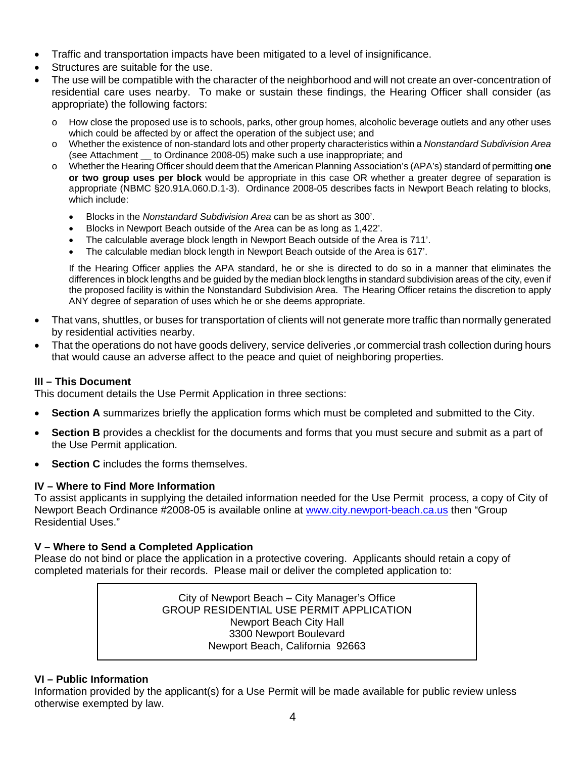- Traffic and transportation impacts have been mitigated to a level of insignificance.
- Structures are suitable for the use.
- The use will be compatible with the character of the neighborhood and will not create an over-concentration of residential care uses nearby. To make or sustain these findings, the Hearing Officer shall consider (as appropriate) the following factors:
	- o How close the proposed use is to schools, parks, other group homes, alcoholic beverage outlets and any other uses which could be affected by or affect the operation of the subject use; and
	- o Whether the existence of non-standard lots and other property characteristics within a *Nonstandard Subdivision Area* (see Attachment \_\_ to Ordinance 2008-05) make such a use inappropriate; and
	- o Whether the Hearing Officer should deem that the American Planning Association's (APA's) standard of permitting **one or two group uses per block** would be appropriate in this case OR whether a greater degree of separation is appropriate (NBMC §20.91A.060.D.1-3). Ordinance 2008-05 describes facts in Newport Beach relating to blocks, which include:
		- Blocks in the *Nonstandard Subdivision Area* can be as short as 300'.
		- Blocks in Newport Beach outside of the Area can be as long as 1,422'.
		- The calculable average block length in Newport Beach outside of the Area is 711'.
		- The calculable median block length in Newport Beach outside of the Area is 617'.

If the Hearing Officer applies the APA standard, he or she is directed to do so in a manner that eliminates the differences in block lengths and be guided by the median block lengths in standard subdivision areas of the city, even if the proposed facility is within the Nonstandard Subdivision Area. The Hearing Officer retains the discretion to apply ANY degree of separation of uses which he or she deems appropriate.

- That vans, shuttles, or buses for transportation of clients will not generate more traffic than normally generated by residential activities nearby.
- That the operations do not have goods delivery, service deliveries , or commercial trash collection during hours that would cause an adverse affect to the peace and quiet of neighboring properties.

## **III – This Document**

This document details the Use Permit Application in three sections:

- **Section A** summarizes briefly the application forms which must be completed and submitted to the City.
- **Section B** provides a checklist for the documents and forms that you must secure and submit as a part of the Use Permit application.
- **Section C** includes the forms themselves.

## **IV – Where to Find More Information**

To assist applicants in supplying the detailed information needed for the Use Permit process, a copy of City of Newport Beach Ordinance #2008-05 is available online at [www.city.newport-beach.ca.us](http://www.city.newport-beach.ca.us/) then "Group Residential Uses."

## **V – Where to Send a Completed Application**

Please do not bind or place the application in a protective covering. Applicants should retain a copy of completed materials for their records. Please mail or deliver the completed application to:

> City of Newport Beach – City Manager's Office GROUP RESIDENTIAL USE PERMIT APPLICATION Newport Beach City Hall 3300 Newport Boulevard Newport Beach, California 92663

## **VI – Public Information**

Information provided by the applicant(s) for a Use Permit will be made available for public review unless otherwise exempted by law.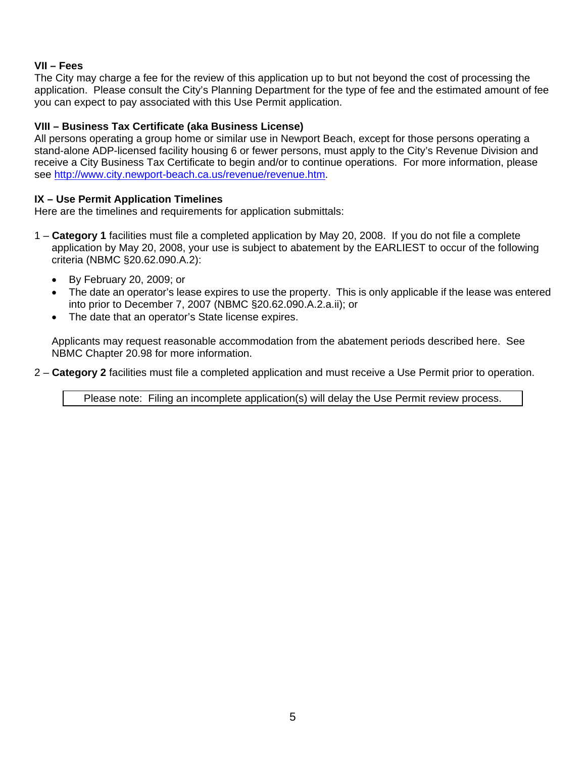## **VII – Fees**

The City may charge a fee for the review of this application up to but not beyond the cost of processing the application. Please consult the City's Planning Department for the type of fee and the estimated amount of fee you can expect to pay associated with this Use Permit application.

#### **VIII – Business Tax Certificate (aka Business License)**

All persons operating a group home or similar use in Newport Beach, except for those persons operating a stand-alone ADP-licensed facility housing 6 or fewer persons, must apply to the City's Revenue Division and receive a City Business Tax Certificate to begin and/or to continue operations. For more information, please see [http://www.city.newport-beach.ca.us/revenue/revenue.htm.](http://www.city.newport-beach.ca.us/revenue/revenue.htm)

#### **IX – Use Permit Application Timelines**

Here are the timelines and requirements for application submittals:

- 1 **Category 1** facilities must file a completed application by May 20, 2008. If you do not file a complete application by May 20, 2008, your use is subject to abatement by the EARLIEST to occur of the following criteria (NBMC §20.62.090.A.2):
	- By February 20, 2009; or
	- The date an operator's lease expires to use the property. This is only applicable if the lease was entered into prior to December 7, 2007 (NBMC §20.62.090.A.2.a.ii); or
	- The date that an operator's State license expires.

Applicants may request reasonable accommodation from the abatement periods described here. See NBMC Chapter 20.98 for more information.

2 – **Category 2** facilities must file a completed application and must receive a Use Permit prior to operation.

Please note: Filing an incomplete application(s) will delay the Use Permit review process.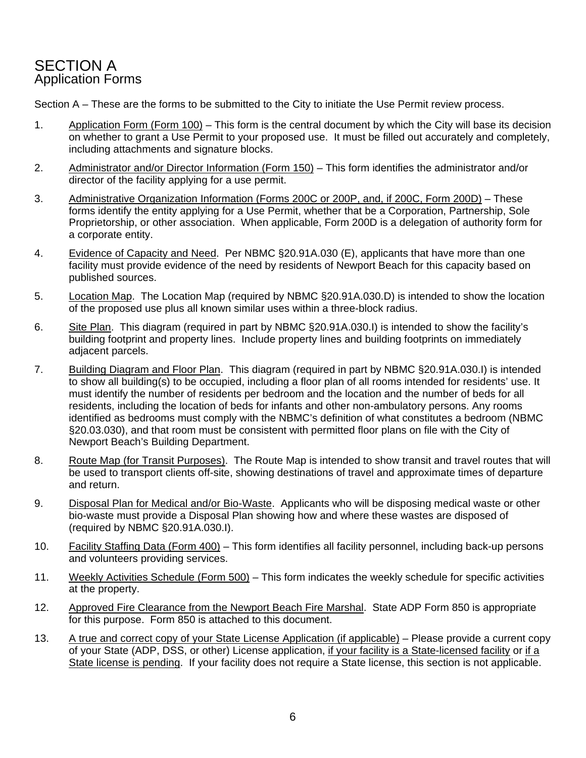## SECTION A Application Forms

Section A – These are the forms to be submitted to the City to initiate the Use Permit review process.

- 1. Application Form (Form 100) This form is the central document by which the City will base its decision on whether to grant a Use Permit to your proposed use. It must be filled out accurately and completely, including attachments and signature blocks.
- 2. Administrator and/or Director Information (Form 150) This form identifies the administrator and/or director of the facility applying for a use permit.
- 3. Administrative Organization Information (Forms 200C or 200P, and, if 200C, Form 200D) These forms identify the entity applying for a Use Permit, whether that be a Corporation, Partnership, Sole Proprietorship, or other association. When applicable, Form 200D is a delegation of authority form for a corporate entity.
- 4. Evidence of Capacity and Need. Per NBMC §20.91A.030 (E), applicants that have more than one facility must provide evidence of the need by residents of Newport Beach for this capacity based on published sources.
- 5. Location Map. The Location Map (required by NBMC §20.91A.030.D) is intended to show the location of the proposed use plus all known similar uses within a three-block radius.
- 6. Site Plan. This diagram (required in part by NBMC §20.91A.030.I) is intended to show the facility's building footprint and property lines. Include property lines and building footprints on immediately adjacent parcels.
- 7. Building Diagram and Floor Plan. This diagram (required in part by NBMC §20.91A.030.I) is intended to show all building(s) to be occupied, including a floor plan of all rooms intended for residents' use. It must identify the number of residents per bedroom and the location and the number of beds for all residents, including the location of beds for infants and other non-ambulatory persons. Any rooms identified as bedrooms must comply with the NBMC's definition of what constitutes a bedroom (NBMC §20.03.030), and that room must be consistent with permitted floor plans on file with the City of Newport Beach's Building Department.
- 8. Route Map (for Transit Purposes). The Route Map is intended to show transit and travel routes that will be used to transport clients off-site, showing destinations of travel and approximate times of departure and return.
- 9. Disposal Plan for Medical and/or Bio-Waste. Applicants who will be disposing medical waste or other bio-waste must provide a Disposal Plan showing how and where these wastes are disposed of (required by NBMC §20.91A.030.I).
- 10. Facility Staffing Data (Form 400) This form identifies all facility personnel, including back-up persons and volunteers providing services.
- 11. Weekly Activities Schedule (Form 500) This form indicates the weekly schedule for specific activities at the property.
- 12. Approved Fire Clearance from the Newport Beach Fire Marshal. State ADP Form 850 is appropriate for this purpose. Form 850 is attached to this document.
- 13. A true and correct copy of your State License Application (if applicable) Please provide a current copy of your State (ADP, DSS, or other) License application, if your facility is a State-licensed facility or if a State license is pending. If your facility does not require a State license, this section is not applicable.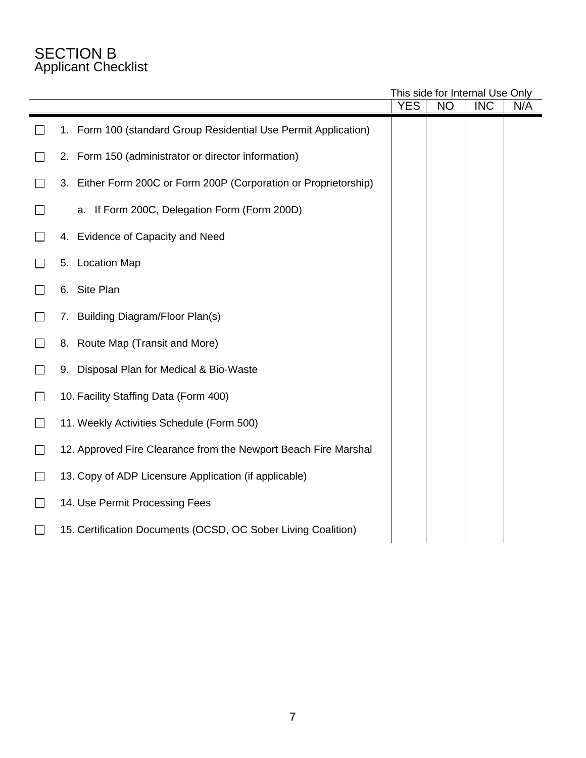## SECTION B Applicant Checklist

This side for Internal Use Only

|               |                                                                  | <b>YES</b> | <b>NO</b> | $11110$ JNU TVI THIGHT USG<br><b>INC</b> | ◡᠁<br>N/A |
|---------------|------------------------------------------------------------------|------------|-----------|------------------------------------------|-----------|
|               | 1. Form 100 (standard Group Residential Use Permit Application)  |            |           |                                          |           |
| $\Box$        | 2. Form 150 (administrator or director information)              |            |           |                                          |           |
| $\Box$        | 3. Either Form 200C or Form 200P (Corporation or Proprietorship) |            |           |                                          |           |
| $\sim$        | a. If Form 200C, Delegation Form (Form 200D)                     |            |           |                                          |           |
| $\mathbf{I}$  | 4. Evidence of Capacity and Need                                 |            |           |                                          |           |
|               | 5. Location Map                                                  |            |           |                                          |           |
| $\mathbf{I}$  | Site Plan<br>6.                                                  |            |           |                                          |           |
|               | 7. Building Diagram/Floor Plan(s)                                |            |           |                                          |           |
| $\mathcal{L}$ | 8. Route Map (Transit and More)                                  |            |           |                                          |           |
|               | 9. Disposal Plan for Medical & Bio-Waste                         |            |           |                                          |           |
| П             | 10. Facility Staffing Data (Form 400)                            |            |           |                                          |           |
| $\mathbf{I}$  | 11. Weekly Activities Schedule (Form 500)                        |            |           |                                          |           |
| <b>I</b>      | 12. Approved Fire Clearance from the Newport Beach Fire Marshal  |            |           |                                          |           |
| П             | 13. Copy of ADP Licensure Application (if applicable)            |            |           |                                          |           |
| $\Box$        | 14. Use Permit Processing Fees                                   |            |           |                                          |           |
| L.            | 15. Certification Documents (OCSD, OC Sober Living Coalition)    |            |           |                                          |           |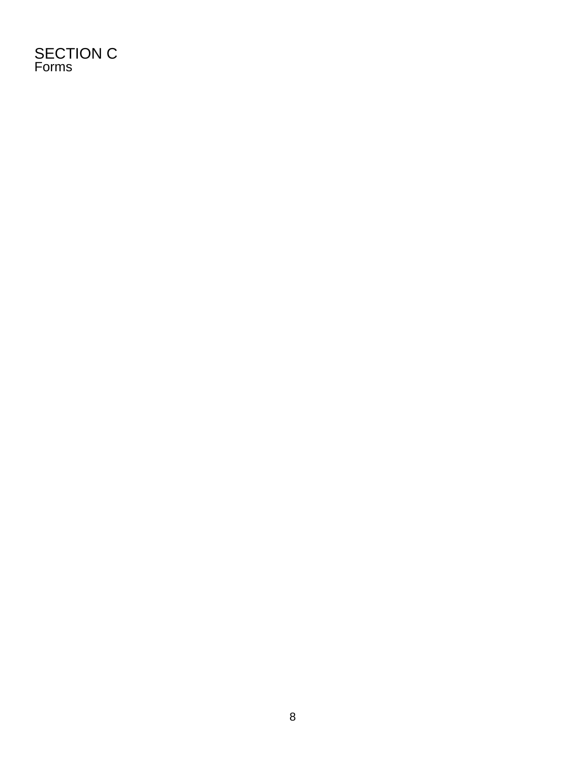SECTION C Forms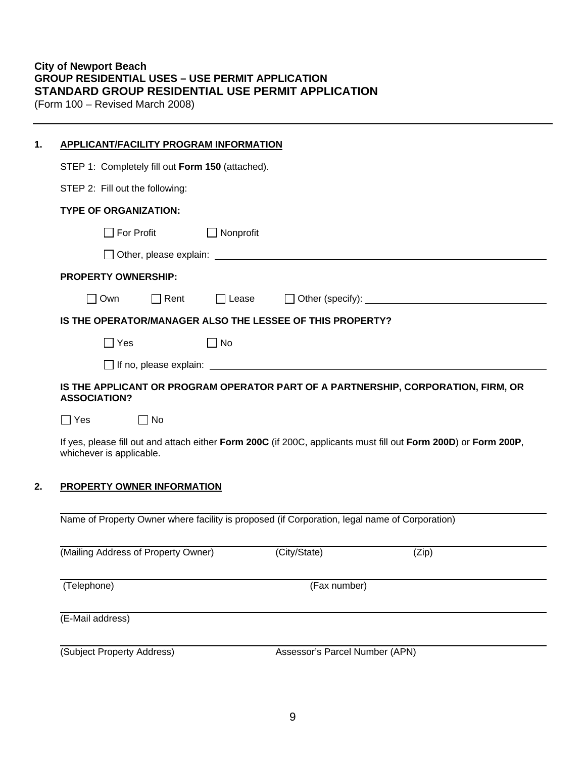(Form 100 – Revised March 2008)

#### **1. APPLICANT/FACILITY PROGRAM INFORMATION**

| STEP 1: Completely fill out Form 150 (attached).              |                                     |                  |                                                           |                                                                                                                 |
|---------------------------------------------------------------|-------------------------------------|------------------|-----------------------------------------------------------|-----------------------------------------------------------------------------------------------------------------|
| STEP 2: Fill out the following:                               |                                     |                  |                                                           |                                                                                                                 |
| <b>TYPE OF ORGANIZATION:</b>                                  |                                     |                  |                                                           |                                                                                                                 |
|                                                               | $\Box$ For Profit                   | $\Box$ Nonprofit |                                                           |                                                                                                                 |
|                                                               |                                     |                  |                                                           |                                                                                                                 |
| <b>PROPERTY OWNERSHIP:</b>                                    |                                     |                  |                                                           |                                                                                                                 |
| $\Box$ Own                                                    | $\Box$ Rent                         | $\Box$ Lease     |                                                           |                                                                                                                 |
|                                                               |                                     |                  | IS THE OPERATOR/MANAGER ALSO THE LESSEE OF THIS PROPERTY? |                                                                                                                 |
| $\square$ Yes                                                 |                                     | $\square$ No     |                                                           |                                                                                                                 |
|                                                               |                                     |                  |                                                           | $\Box$ If no, please explain: $\Box$                                                                            |
| <b>ASSOCIATION?</b>                                           |                                     |                  |                                                           | IS THE APPLICANT OR PROGRAM OPERATOR PART OF A PARTNERSHIP, CORPORATION, FIRM, OR                               |
| $\square$ Yes                                                 | $\Box$ No                           |                  |                                                           |                                                                                                                 |
| whichever is applicable.<br><b>PROPERTY OWNER INFORMATION</b> |                                     |                  |                                                           | If yes, please fill out and attach either Form 200C (if 200C, applicants must fill out Form 200D) or Form 200P, |
|                                                               |                                     |                  |                                                           | Name of Property Owner where facility is proposed (if Corporation, legal name of Corporation)                   |
|                                                               | (Mailing Address of Property Owner) |                  | (City/State)                                              | (Zip)                                                                                                           |
|                                                               |                                     |                  |                                                           |                                                                                                                 |
| (Telephone)                                                   |                                     |                  | (Fax number)                                              |                                                                                                                 |

**(Subject Property Address)** 

Assessor's Parcel Number (APN)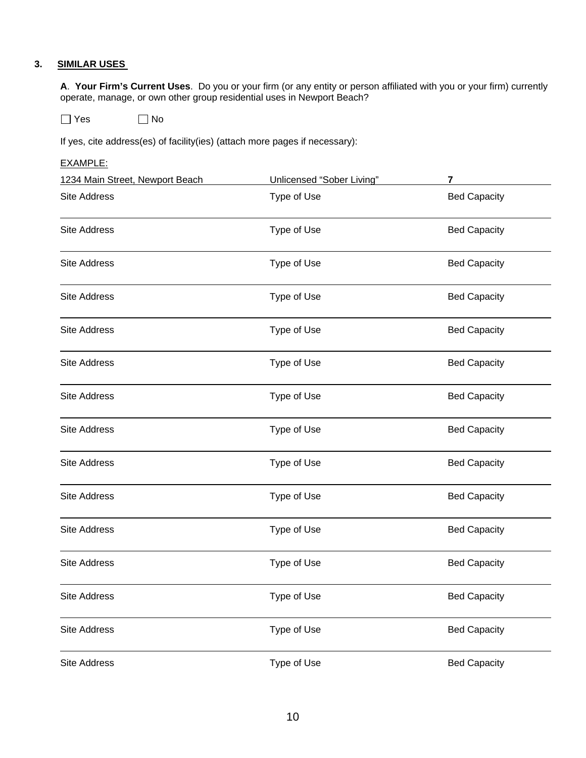## **3. SIMILAR USES**

**A**. **Your Firm's Current Uses**. Do you or your firm (or any entity or person affiliated with you or your firm) currently operate, manage, or own other group residential uses in Newport Beach?

 $\Box$  Yes  $\Box$  No

If yes, cite address(es) of facility(ies) (attach more pages if necessary):

#### EXAMPLE:

| 1234 Main Street, Newport Beach | Unlicensed "Sober Living" | 7                   |
|---------------------------------|---------------------------|---------------------|
| Site Address                    | Type of Use               | <b>Bed Capacity</b> |
| Site Address                    | Type of Use               | <b>Bed Capacity</b> |
| Site Address                    | Type of Use               | <b>Bed Capacity</b> |
| Site Address                    | Type of Use               | <b>Bed Capacity</b> |
| <b>Site Address</b>             | Type of Use               | <b>Bed Capacity</b> |
| <b>Site Address</b>             | Type of Use               | <b>Bed Capacity</b> |
| Site Address                    | Type of Use               | <b>Bed Capacity</b> |
| <b>Site Address</b>             | Type of Use               | <b>Bed Capacity</b> |
| <b>Site Address</b>             | Type of Use               | <b>Bed Capacity</b> |
| <b>Site Address</b>             | Type of Use               | <b>Bed Capacity</b> |
| Site Address                    | Type of Use               | <b>Bed Capacity</b> |
| Site Address                    | Type of Use               | <b>Bed Capacity</b> |
| <b>Site Address</b>             | Type of Use               | <b>Bed Capacity</b> |
| <b>Site Address</b>             | Type of Use               | <b>Bed Capacity</b> |
| <b>Site Address</b>             | Type of Use               | <b>Bed Capacity</b> |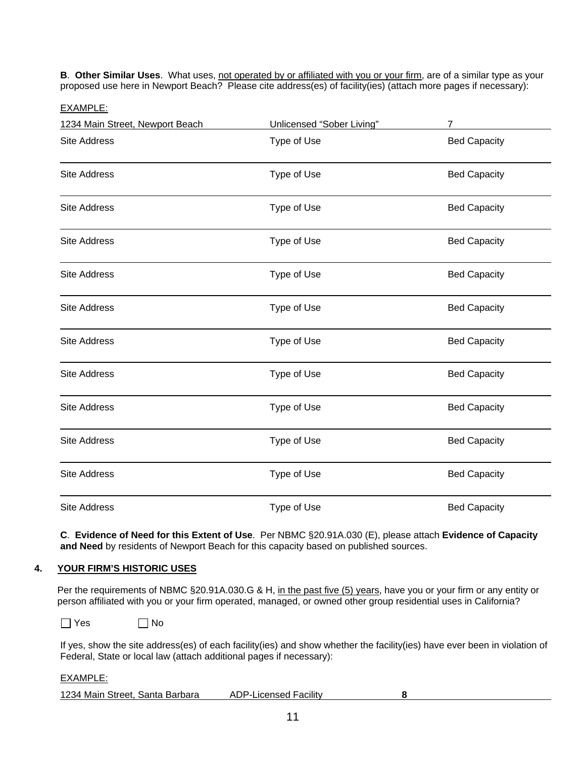**B.** Other Similar Uses. What uses, not operated by or affiliated with you or your firm, are of a similar type as your proposed use here in Newport Beach? Please cite address(es) of facility(ies) (attach more pages if necessary):

EXAMPLE:

| 1234 Main Street, Newport Beach | Unlicensed "Sober Living" | 7                   |
|---------------------------------|---------------------------|---------------------|
| <b>Site Address</b>             | Type of Use               | <b>Bed Capacity</b> |
| <b>Site Address</b>             | Type of Use               | <b>Bed Capacity</b> |
| <b>Site Address</b>             | Type of Use               | <b>Bed Capacity</b> |
| <b>Site Address</b>             | Type of Use               | <b>Bed Capacity</b> |
| <b>Site Address</b>             | Type of Use               | <b>Bed Capacity</b> |
| <b>Site Address</b>             | Type of Use               | <b>Bed Capacity</b> |
| <b>Site Address</b>             | Type of Use               | <b>Bed Capacity</b> |
| <b>Site Address</b>             | Type of Use               | <b>Bed Capacity</b> |
| <b>Site Address</b>             | Type of Use               | <b>Bed Capacity</b> |
| <b>Site Address</b>             | Type of Use               | <b>Bed Capacity</b> |
| <b>Site Address</b>             | Type of Use               | <b>Bed Capacity</b> |
| <b>Site Address</b>             | Type of Use               | <b>Bed Capacity</b> |

**C**. **Evidence of Need for this Extent of Use**. Per NBMC §20.91A.030 (E), please attach **Evidence of Capacity and Need** by residents of Newport Beach for this capacity based on published sources.

#### **4. YOUR FIRM'S HISTORIC USES**

Per the requirements of NBMC §20.91A.030.G & H, in the past five (5) years, have you or your firm or any entity or person affiliated with you or your firm operated, managed, or owned other group residential uses in California?

 $\Box$  Yes  $\Box$  No

If yes, show the site address(es) of each facility(ies) and show whether the facility(ies) have ever been in violation of Federal, State or local law (attach additional pages if necessary):

#### EXAMPLE:

| 1234 Main Street, Santa Barbara | <b>ADP-Licensed Facility</b> |  |
|---------------------------------|------------------------------|--|
|                                 |                              |  |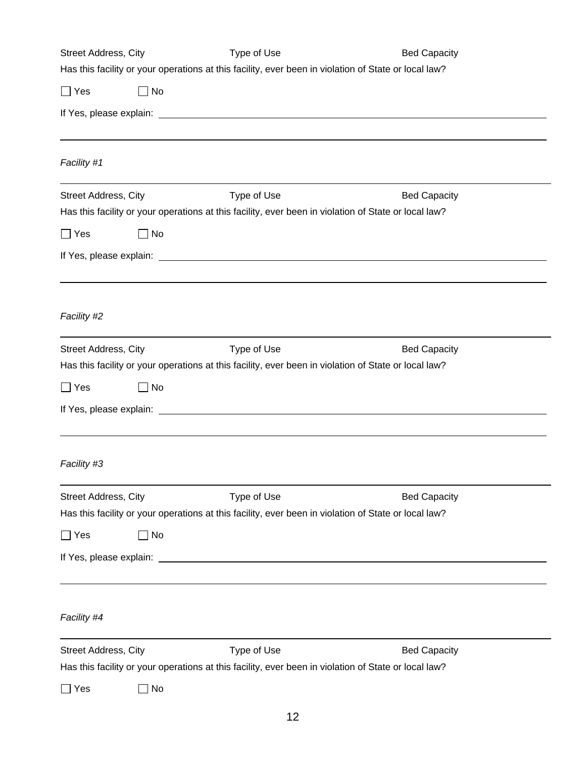| <b>Street Address, City</b> | Type of Use                                                                                          | <b>Bed Capacity</b> |
|-----------------------------|------------------------------------------------------------------------------------------------------|---------------------|
|                             | Has this facility or your operations at this facility, ever been in violation of State or local law? |                     |
| $\Box$ No<br>$\Box$ Yes     |                                                                                                      |                     |
|                             |                                                                                                      |                     |
|                             |                                                                                                      |                     |
| Facility #1                 |                                                                                                      |                     |
| <b>Street Address, City</b> | Type of Use                                                                                          | <b>Bed Capacity</b> |
|                             | Has this facility or your operations at this facility, ever been in violation of State or local law? |                     |
| $\Box$ Yes<br>$\Box$ No     |                                                                                                      |                     |
|                             |                                                                                                      |                     |
|                             |                                                                                                      |                     |
| Facility #2                 |                                                                                                      |                     |
| <b>Street Address, City</b> | Type of Use                                                                                          | <b>Bed Capacity</b> |
|                             | Has this facility or your operations at this facility, ever been in violation of State or local law? |                     |
| $\Box$ Yes<br>$\Box$ No     |                                                                                                      |                     |
|                             |                                                                                                      |                     |
|                             |                                                                                                      |                     |
| Facility #3                 |                                                                                                      |                     |
| Street Address, City        | Type of Use                                                                                          | <b>Bed Capacity</b> |
|                             | Has this facility or your operations at this facility, ever been in violation of State or local law? |                     |
| $\Box$ No<br>$\Box$ Yes     |                                                                                                      |                     |
|                             |                                                                                                      |                     |
|                             |                                                                                                      |                     |
| Facility #4                 |                                                                                                      |                     |
| <b>Street Address, City</b> | Type of Use                                                                                          | <b>Bed Capacity</b> |
|                             | Has this facility or your operations at this facility, ever been in violation of State or local law? |                     |
| $\Box$ No<br>$\exists$ Yes  |                                                                                                      |                     |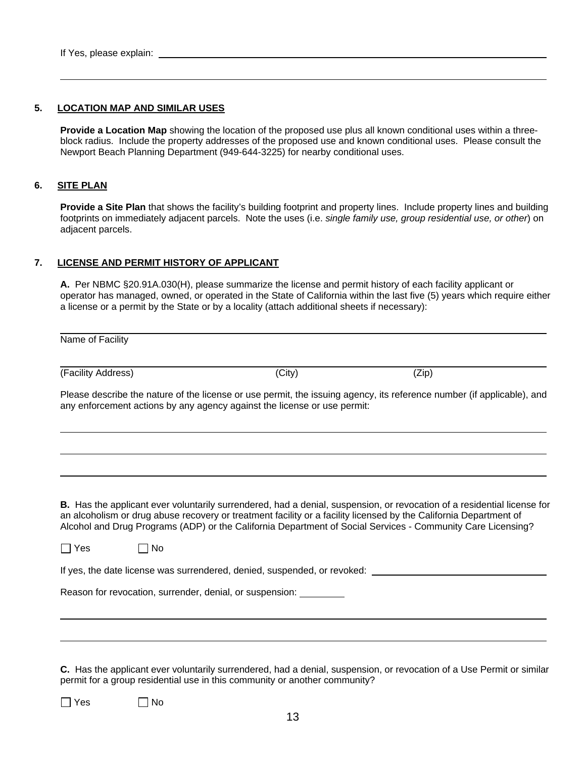#### **5. LOCATION MAP AND SIMILAR USES**

**Provide a Location Map** showing the location of the proposed use plus all known conditional uses within a threeblock radius. Include the property addresses of the proposed use and known conditional uses. Please consult the Newport Beach Planning Department (949-644-3225) for nearby conditional uses.

#### **6. SITE PLAN**

**Provide a Site Plan** that shows the facility's building footprint and property lines. Include property lines and building footprints on immediately adjacent parcels. Note the uses (i.e. *single family use, group residential use, or other*) on adjacent parcels.

#### **7. LICENSE AND PERMIT HISTORY OF APPLICANT**

**A.** Per NBMC §20.91A.030(H), please summarize the license and permit history of each facility applicant or operator has managed, owned, or operated in the State of California within the last five (5) years which require either a license or a permit by the State or by a locality (attach additional sheets if necessary):

| Name of Facility                                         |                                                                          |                                                                                                                                                                                                                                                                                                                                                             |
|----------------------------------------------------------|--------------------------------------------------------------------------|-------------------------------------------------------------------------------------------------------------------------------------------------------------------------------------------------------------------------------------------------------------------------------------------------------------------------------------------------------------|
| (Facility Address)                                       | (City)                                                                   | (Zip)                                                                                                                                                                                                                                                                                                                                                       |
|                                                          | any enforcement actions by any agency against the license or use permit: | Please describe the nature of the license or use permit, the issuing agency, its reference number (if applicable), and                                                                                                                                                                                                                                      |
|                                                          |                                                                          |                                                                                                                                                                                                                                                                                                                                                             |
|                                                          |                                                                          | B. Has the applicant ever voluntarily surrendered, had a denial, suspension, or revocation of a residential license for<br>an alcoholism or drug abuse recovery or treatment facility or a facility licensed by the California Department of<br>Alcohol and Drug Programs (ADP) or the California Department of Social Services - Community Care Licensing? |
| $\Box$ Yes<br>$\Box$ No                                  |                                                                          |                                                                                                                                                                                                                                                                                                                                                             |
|                                                          | If yes, the date license was surrendered, denied, suspended, or revoked: |                                                                                                                                                                                                                                                                                                                                                             |
| Reason for revocation, surrender, denial, or suspension: |                                                                          |                                                                                                                                                                                                                                                                                                                                                             |
|                                                          |                                                                          |                                                                                                                                                                                                                                                                                                                                                             |
|                                                          |                                                                          |                                                                                                                                                                                                                                                                                                                                                             |
|                                                          |                                                                          | C. Has the applicant ever voluntarily surrendered, had a denial, suspension, or revocation of a Use Permit or similar                                                                                                                                                                                                                                       |

permit for a group residential use in this community or another community?

 $\Box$  Yes  $\Box$  No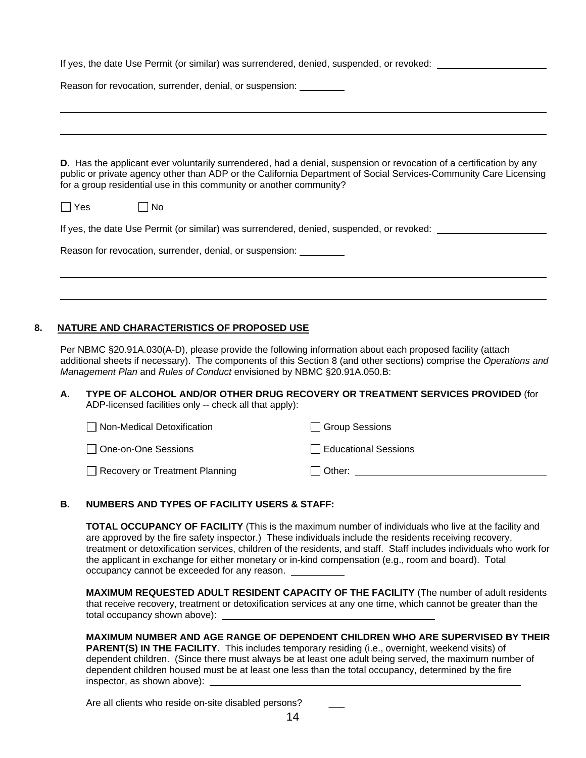If yes, the date Use Permit (or similar) was surrendered, denied, suspended, or revoked:

Reason for revocation, surrender, denial, or suspension:

**D.** Has the applicant ever voluntarily surrendered, had a denial, suspension or revocation of a certification by any public or private agency other than ADP or the California Department of Social Services-Community Care Licensing for a group residential use in this community or another community?

| $\Box$ Yes | $\Box$ No |
|------------|-----------|
|------------|-----------|

If yes, the date Use Permit (or similar) was surrendered, denied, suspended, or revoked:

Reason for revocation, surrender, denial, or suspension:

#### **8. NATURE AND CHARACTERISTICS OF PROPOSED USE**

Per NBMC §20.91A.030(A-D), please provide the following information about each proposed facility (attach additional sheets if necessary). The components of this Section 8 (and other sections) comprise the *Operations and Management Plan* and *Rules of Conduct* envisioned by NBMC §20.91A.050.B:

#### **A. TYPE OF ALCOHOL AND/OR OTHER DRUG RECOVERY OR TREATMENT SERVICES PROVIDED** (for ADP-licensed facilities only -- check all that apply):

| $\Box$ Non-Medical Detoxification     | □ Group Sessions     |
|---------------------------------------|----------------------|
| □ One-on-One Sessions                 | Educational Sessions |
| $\Box$ Recovery or Treatment Planning | l Other:             |

#### **B. NUMBERS AND TYPES OF FACILITY USERS & STAFF:**

**TOTAL OCCUPANCY OF FACILITY** (This is the maximum number of individuals who live at the facility and are approved by the fire safety inspector.) These individuals include the residents receiving recovery, treatment or detoxification services, children of the residents, and staff. Staff includes individuals who work for the applicant in exchange for either monetary or in-kind compensation (e.g., room and board). Total occupancy cannot be exceeded for any reason.

**MAXIMUM REQUESTED ADULT RESIDENT CAPACITY OF THE FACILITY** (The number of adult residents that receive recovery, treatment or detoxification services at any one time, which cannot be greater than the total occupancy shown above):

**MAXIMUM NUMBER AND AGE RANGE OF DEPENDENT CHILDREN WHO ARE SUPERVISED BY THEIR**  PARENT(S) IN THE FACILITY. This includes temporary residing (i.e., overnight, weekend visits) of dependent children. (Since there must always be at least one adult being served, the maximum number of dependent children housed must be at least one less than the total occupancy, determined by the fire inspector, as shown above):

Are all clients who reside on-site disabled persons?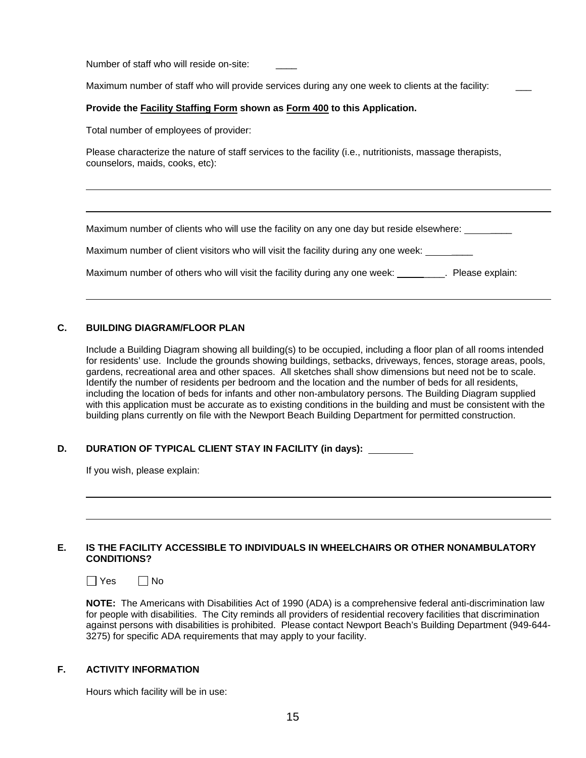Number of staff who will reside on-site:

Maximum number of staff who will provide services during any one week to clients at the facility:

#### **Provide the Facility Staffing Form shown as Form 400 to this Application.**

Total number of employees of provider:

 $\overline{a}$ 

L

Please characterize the nature of staff services to the facility (i.e., nutritionists, massage therapists, counselors, maids, cooks, etc):

Maximum number of clients who will use the facility on any one day but reside elsewhere: \_\_\_\_\_

Maximum number of client visitors who will visit the facility during any one week:

Maximum number of others who will visit the facility during any one week: \_\_\_\_\_\_\_\_. Please explain:

#### **C. BUILDING DIAGRAM/FLOOR PLAN**

Include a Building Diagram showing all building(s) to be occupied, including a floor plan of all rooms intended for residents' use. Include the grounds showing buildings, setbacks, driveways, fences, storage areas, pools, gardens, recreational area and other spaces. All sketches shall show dimensions but need not be to scale. Identify the number of residents per bedroom and the location and the number of beds for all residents, including the location of beds for infants and other non-ambulatory persons. The Building Diagram supplied with this application must be accurate as to existing conditions in the building and must be consistent with the building plans currently on file with the Newport Beach Building Department for permitted construction.

#### **D. DURATION OF TYPICAL CLIENT STAY IN FACILITY (in days):**

If you wish, please explain:

#### **E. IS THE FACILITY ACCESSIBLE TO INDIVIDUALS IN WHEELCHAIRS OR OTHER NONAMBULATORY CONDITIONS?**

 $\Box$  Yes  $\Box$  No

**NOTE:** The Americans with Disabilities Act of 1990 (ADA) is a comprehensive federal anti-discrimination law for people with disabilities. The City reminds all providers of residential recovery facilities that discrimination against persons with disabilities is prohibited. Please contact Newport Beach's Building Department (949-644- 3275) for specific ADA requirements that may apply to your facility.

#### **F. ACTIVITY INFORMATION**

Hours which facility will be in use: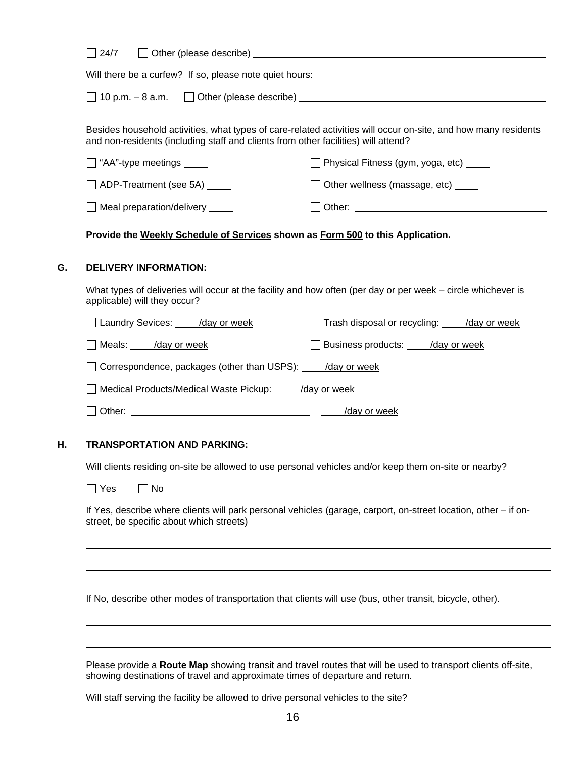| 24/7                                                                                                                                                                                                                                 |                                                                                                                 |  |
|--------------------------------------------------------------------------------------------------------------------------------------------------------------------------------------------------------------------------------------|-----------------------------------------------------------------------------------------------------------------|--|
| Will there be a curfew? If so, please note quiet hours:                                                                                                                                                                              |                                                                                                                 |  |
| $\Box$ 10 p.m. $-$ 8 a.m. $\Box$ Other (please describe) $\Box$                                                                                                                                                                      |                                                                                                                 |  |
| and non-residents (including staff and clients from other facilities) will attend?                                                                                                                                                   | Besides household activities, what types of care-related activities will occur on-site, and how many residents  |  |
| $\Box$ "AA"-type meetings $\_\_\_\_\_\_\$                                                                                                                                                                                            | Physical Fitness (gym, yoga, etc) _____                                                                         |  |
| $\Box$ ADP-Treatment (see 5A) $\_\_$                                                                                                                                                                                                 | □ Other wellness (massage, etc) _____                                                                           |  |
| $\Box$ Meal preparation/delivery $\_\_$                                                                                                                                                                                              | $\Box$ Other: $\Box$                                                                                            |  |
| Provide the Weekly Schedule of Services shown as Form 500 to this Application.                                                                                                                                                       |                                                                                                                 |  |
| <b>DELIVERY INFORMATION:</b>                                                                                                                                                                                                         |                                                                                                                 |  |
| applicable) will they occur?                                                                                                                                                                                                         | What types of deliveries will occur at the facility and how often (per day or per week – circle whichever is    |  |
| Laundry Sevices: //day or week                                                                                                                                                                                                       | Trash disposal or recycling: /day or week                                                                       |  |
| Meals: /day or week                                                                                                                                                                                                                  | Business products: /day or week                                                                                 |  |
| Correspondence, packages (other than USPS): //day or week                                                                                                                                                                            |                                                                                                                 |  |
| Medical Products/Medical Waste Pickup: //day or week                                                                                                                                                                                 |                                                                                                                 |  |
| Other: <u>Constantine and Constantine and Constantine and Constantine and Constantine and Constantine and Constantine and Constantine and Constantine and Constantine and Constantine and Constantine and Constantine and Consta</u> |                                                                                                                 |  |
| <b>TRANSPORTATION AND PARKING:</b>                                                                                                                                                                                                   |                                                                                                                 |  |
|                                                                                                                                                                                                                                      | Will clients residing on-site be allowed to use personal vehicles and/or keep them on-site or nearby?           |  |
| $\sqsupset$ No<br>$\Box$ Yes                                                                                                                                                                                                         |                                                                                                                 |  |
| street, be specific about which streets)                                                                                                                                                                                             | If Yes, describe where clients will park personal vehicles (garage, carport, on-street location, other – if on- |  |
|                                                                                                                                                                                                                                      |                                                                                                                 |  |
|                                                                                                                                                                                                                                      |                                                                                                                 |  |

Please provide a **Route Map** showing transit and travel routes that will be used to transport clients off-site, showing destinations of travel and approximate times of departure and return.

Will staff serving the facility be allowed to drive personal vehicles to the site?

 $\overline{a}$ 

 $\overline{a}$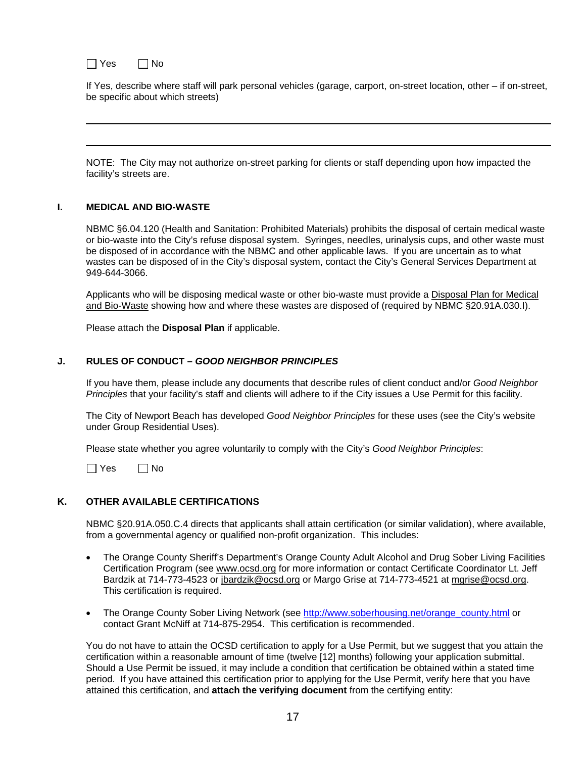## $\Box$  Yes  $\Box$  No

 $\overline{a}$ 

 $\overline{a}$ 

If Yes, describe where staff will park personal vehicles (garage, carport, on-street location, other – if on-street, be specific about which streets)

NOTE: The City may not authorize on-street parking for clients or staff depending upon how impacted the facility's streets are.

#### **I. MEDICAL AND BIO-WASTE**

NBMC §6.04.120 (Health and Sanitation: Prohibited Materials) prohibits the disposal of certain medical waste or bio-waste into the City's refuse disposal system. Syringes, needles, urinalysis cups, and other waste must be disposed of in accordance with the NBMC and other applicable laws. If you are uncertain as to what wastes can be disposed of in the City's disposal system, contact the City's General Services Department at 949-644-3066.

Applicants who will be disposing medical waste or other bio-waste must provide a Disposal Plan for Medical and Bio-Waste showing how and where these wastes are disposed of (required by NBMC §20.91A.030.I).

Please attach the **Disposal Plan** if applicable.

#### **J. RULES OF CONDUCT –** *GOOD NEIGHBOR PRINCIPLES*

If you have them, please include any documents that describe rules of client conduct and/or *Good Neighbor Principles* that your facility's staff and clients will adhere to if the City issues a Use Permit for this facility.

The City of Newport Beach has developed *Good Neighbor Principles* for these uses (see the City's website under Group Residential Uses).

Please state whether you agree voluntarily to comply with the City's *Good Neighbor Principles*:

| I<br>es | N٥ |
|---------|----|
|---------|----|

#### **K. OTHER AVAILABLE CERTIFICATIONS**

NBMC §20.91A.050.C.4 directs that applicants shall attain certification (or similar validation), where available, from a governmental agency or qualified non-profit organization. This includes:

- The Orange County Sheriff's Department's Orange County Adult Alcohol and Drug Sober Living Facilities Certification Program (see [www.ocsd.org](http://www.ocsd.org/) for more information or contact Certificate Coordinator Lt. Jeff Bardzik at 714-773-4523 or [jbardzik@ocsd.org](mailto:jbardzik@ocsd.org?Subject=From%20OCSD%20Internet) or Margo Grise at 714-773-4521 at [mgrise@ocsd.org](mailto:mgrise@ocsd.org?Subject=From%20OCSD%20Internet). This certification is required.
- The Orange County Sober Living Network (see [http://www.soberhousing.net/orange\\_county.html](http://www.soberhousing.net/orange_county.html) or contact Grant McNiff at 714-875-2954. This certification is recommended.

You do not have to attain the OCSD certification to apply for a Use Permit, but we suggest that you attain the certification within a reasonable amount of time (twelve [12] months) following your application submittal. Should a Use Permit be issued, it may include a condition that certification be obtained within a stated time period. If you have attained this certification prior to applying for the Use Permit, verify here that you have attained this certification, and **attach the verifying document** from the certifying entity: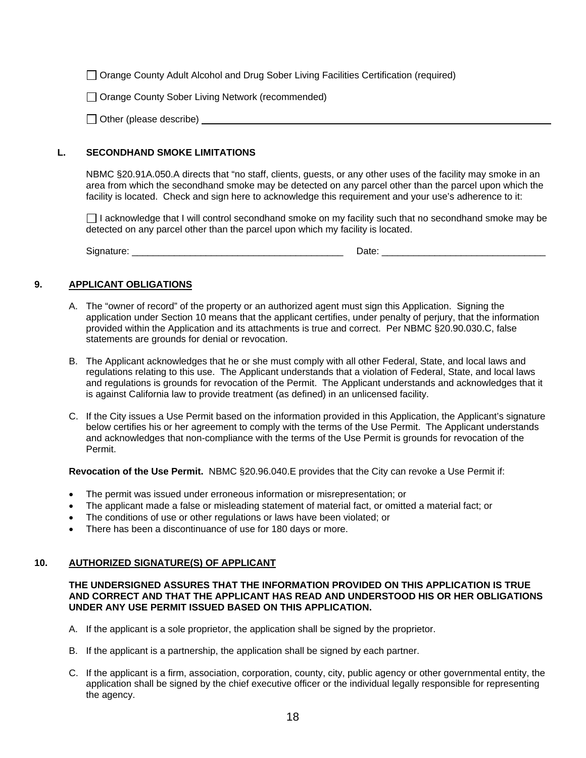Orange County Adult Alcohol and Drug Sober Living Facilities Certification (required)

□ Orange County Sober Living Network (recommended)

#### **L. SECONDHAND SMOKE LIMITATIONS**

NBMC §20.91A.050.A directs that "no staff, clients, guests, or any other uses of the facility may smoke in an area from which the secondhand smoke may be detected on any parcel other than the parcel upon which the facility is located. Check and sign here to acknowledge this requirement and your use's adherence to it:

 $\Box$  I acknowledge that I will control secondhand smoke on my facility such that no secondhand smoke may be detected on any parcel other than the parcel upon which my facility is located.

Signature: \_\_\_\_\_\_\_\_\_\_\_\_\_\_\_\_\_\_\_\_\_\_\_\_\_\_\_\_\_\_\_\_\_\_\_\_\_\_\_\_ Date: \_\_\_\_\_\_\_\_\_\_\_\_\_\_\_\_\_\_\_\_\_\_\_\_\_\_\_\_\_\_\_

#### **9. APPLICANT OBLIGATIONS**

- A. The "owner of record" of the property or an authorized agent must sign this Application. Signing the application under Section 10 means that the applicant certifies, under penalty of perjury, that the information provided within the Application and its attachments is true and correct. Per NBMC §20.90.030.C, false statements are grounds for denial or revocation.
- B. The Applicant acknowledges that he or she must comply with all other Federal, State, and local laws and regulations relating to this use. The Applicant understands that a violation of Federal, State, and local laws and regulations is grounds for revocation of the Permit. The Applicant understands and acknowledges that it is against California law to provide treatment (as defined) in an unlicensed facility.
- C. If the City issues a Use Permit based on the information provided in this Application, the Applicant's signature below certifies his or her agreement to comply with the terms of the Use Permit. The Applicant understands and acknowledges that non-compliance with the terms of the Use Permit is grounds for revocation of the Permit.

**Revocation of the Use Permit.** NBMC §20.96.040.E provides that the City can revoke a Use Permit if:

- The permit was issued under erroneous information or misrepresentation; or
- The applicant made a false or misleading statement of material fact, or omitted a material fact; or
- The conditions of use or other regulations or laws have been violated; or
- There has been a discontinuance of use for 180 days or more.

## **10. AUTHORIZED SIGNATURE(S) OF APPLICANT**

#### **THE UNDERSIGNED ASSURES THAT THE INFORMATION PROVIDED ON THIS APPLICATION IS TRUE AND CORRECT AND THAT THE APPLICANT HAS READ AND UNDERSTOOD HIS OR HER OBLIGATIONS UNDER ANY USE PERMIT ISSUED BASED ON THIS APPLICATION.**

- A. If the applicant is a sole proprietor, the application shall be signed by the proprietor.
- B. If the applicant is a partnership, the application shall be signed by each partner.
- C. If the applicant is a firm, association, corporation, county, city, public agency or other governmental entity, the application shall be signed by the chief executive officer or the individual legally responsible for representing the agency.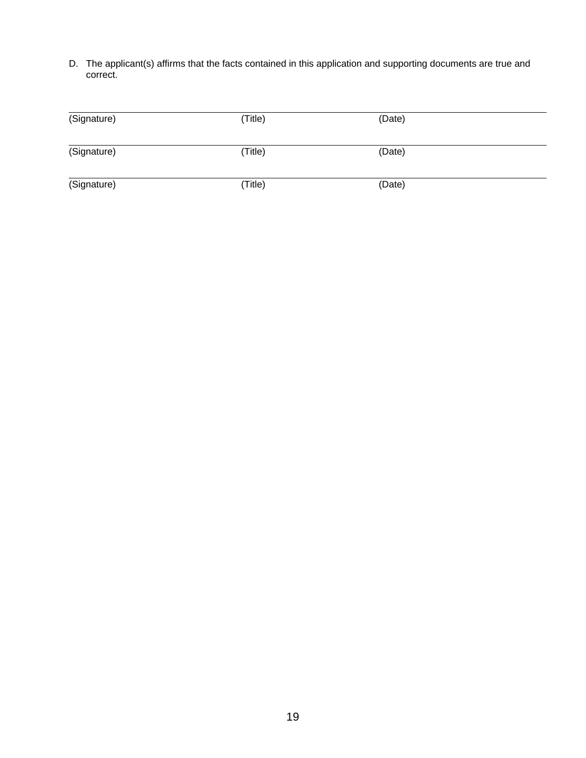D. The applicant(s) affirms that the facts contained in this application and supporting documents are true and correct.

| (Signature) | (Title) | (Date) |
|-------------|---------|--------|
| (Signature) | (Title) | (Date) |
| (Signature) | (Title) | (Date) |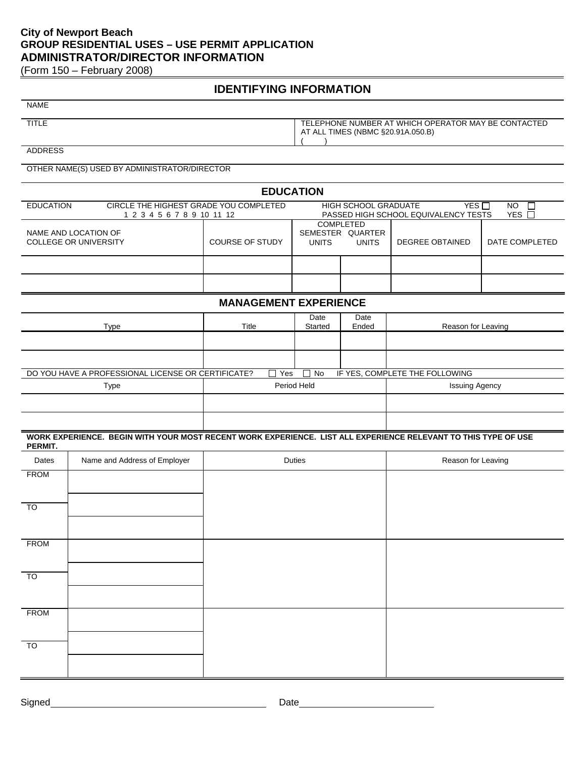## **City of Newport Beach GROUP RESIDENTIAL USES – USE PERMIT APPLICATION ADMINISTRATOR/DIRECTOR INFORMATION**

(Form 150 – February 2008)

## **IDENTIFYING INFORMATION**

| NAME   |
|--------|
| TITI E |

| TELEPHONE NUMBER AT WHICH OPERATOR MAY BE CONTACTED |
|-----------------------------------------------------|
| AT ALL TIMES (NBMC §20.91A.050.B)                   |
|                                                     |

ADDRESS

OTHER NAME(S) USED BY ADMINISTRATOR/DIRECTOR

|                                               |                                                                                                                | <b>EDUCATION</b>             |                 |                                               |                                                                  |                       |  |
|-----------------------------------------------|----------------------------------------------------------------------------------------------------------------|------------------------------|-----------------|-----------------------------------------------|------------------------------------------------------------------|-----------------------|--|
| <b>EDUCATION</b>                              | CIRCLE THE HIGHEST GRADE YOU COMPLETED<br>1 2 3 4 5 6 7 8 9 10 11 12                                           |                              |                 | HIGH SCHOOL GRADUATE                          | $\overline{Y}$ ES $\Box$<br>PASSED HIGH SCHOOL EQUIVALENCY TESTS | NO<br>$\Box$<br>YES □ |  |
| NAME AND LOCATION OF<br>COLLEGE OR UNIVERSITY |                                                                                                                | COURSE OF STUDY              | <b>UNITS</b>    | COMPLETED<br>SEMESTER QUARTER<br><b>UNITS</b> | DEGREE OBTAINED                                                  | DATE COMPLETED        |  |
|                                               |                                                                                                                |                              |                 |                                               |                                                                  |                       |  |
|                                               |                                                                                                                | <b>MANAGEMENT EXPERIENCE</b> |                 |                                               |                                                                  |                       |  |
|                                               | Type                                                                                                           | Title                        | Date<br>Started | Date<br>Ended                                 | Reason for Leaving                                               |                       |  |
|                                               |                                                                                                                |                              |                 |                                               |                                                                  |                       |  |
|                                               | DO YOU HAVE A PROFESSIONAL LICENSE OR CERTIFICATE?                                                             | Yes                          | No              |                                               | IF YES, COMPLETE THE FOLLOWING                                   |                       |  |
|                                               | Type                                                                                                           |                              | Period Held     |                                               | <b>Issuing Agency</b>                                            |                       |  |
|                                               |                                                                                                                |                              |                 |                                               |                                                                  |                       |  |
|                                               |                                                                                                                |                              |                 |                                               |                                                                  |                       |  |
| PERMIT.                                       | WORK EXPERIENCE. BEGIN WITH YOUR MOST RECENT WORK EXPERIENCE. LIST ALL EXPERIENCE RELEVANT TO THIS TYPE OF USE |                              |                 |                                               |                                                                  |                       |  |
| Dates                                         | Name and Address of Employer                                                                                   |                              | <b>Duties</b>   |                                               | Reason for Leaving                                               |                       |  |
| <b>FROM</b>                                   |                                                                                                                |                              |                 |                                               |                                                                  |                       |  |
| TO                                            |                                                                                                                |                              |                 |                                               |                                                                  |                       |  |
| <b>FROM</b>                                   |                                                                                                                |                              |                 |                                               |                                                                  |                       |  |
| TO                                            |                                                                                                                |                              |                 |                                               |                                                                  |                       |  |
| <b>FROM</b>                                   |                                                                                                                |                              |                 |                                               |                                                                  |                       |  |
| $\overline{10}$                               |                                                                                                                |                              |                 |                                               |                                                                  |                       |  |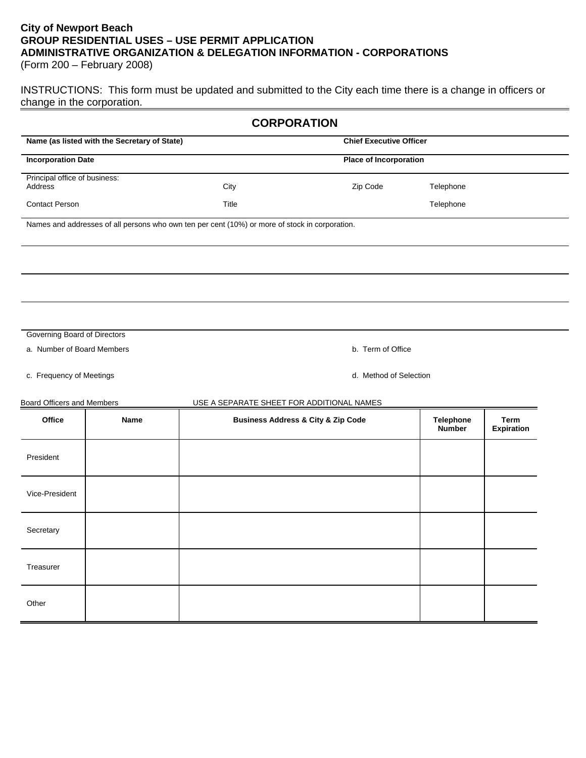## **City of Newport Beach GROUP RESIDENTIAL USES – USE PERMIT APPLICATION ADMINISTRATIVE ORGANIZATION & DELEGATION INFORMATION - CORPORATIONS**

(Form 200 – February 2008)

INSTRUCTIONS: This form must be updated and submitted to the City each time there is a change in officers or change in the corporation.

| <b>CORPORATION</b>                       |                                              |                                                                                                |                                                   |                                   |                           |  |
|------------------------------------------|----------------------------------------------|------------------------------------------------------------------------------------------------|---------------------------------------------------|-----------------------------------|---------------------------|--|
|                                          | Name (as listed with the Secretary of State) |                                                                                                | <b>Chief Executive Officer</b>                    |                                   |                           |  |
| <b>Incorporation Date</b>                |                                              |                                                                                                | <b>Place of Incorporation</b>                     |                                   |                           |  |
| Principal office of business:<br>Address |                                              | City                                                                                           | Zip Code                                          | Telephone                         |                           |  |
| <b>Contact Person</b>                    |                                              | Title                                                                                          |                                                   | Telephone                         |                           |  |
|                                          |                                              | Names and addresses of all persons who own ten per cent (10%) or more of stock in corporation. |                                                   |                                   |                           |  |
|                                          |                                              |                                                                                                |                                                   |                                   |                           |  |
|                                          |                                              |                                                                                                |                                                   |                                   |                           |  |
|                                          |                                              |                                                                                                |                                                   |                                   |                           |  |
|                                          |                                              |                                                                                                |                                                   |                                   |                           |  |
| Governing Board of Directors             |                                              |                                                                                                |                                                   |                                   |                           |  |
| a. Number of Board Members               |                                              |                                                                                                | b. Term of Office                                 |                                   |                           |  |
| c. Frequency of Meetings                 |                                              |                                                                                                | d. Method of Selection                            |                                   |                           |  |
| Board Officers and Members               |                                              | USE A SEPARATE SHEET FOR ADDITIONAL NAMES                                                      |                                                   |                                   |                           |  |
| Office                                   | Name                                         |                                                                                                | <b>Business Address &amp; City &amp; Zip Code</b> | <b>Telephone</b><br><b>Number</b> | Term<br><b>Expiration</b> |  |
| President                                |                                              |                                                                                                |                                                   |                                   |                           |  |
| Vice-President                           |                                              |                                                                                                |                                                   |                                   |                           |  |
| Secretary                                |                                              |                                                                                                |                                                   |                                   |                           |  |
| Treasurer                                |                                              |                                                                                                |                                                   |                                   |                           |  |
| Other                                    |                                              |                                                                                                |                                                   |                                   |                           |  |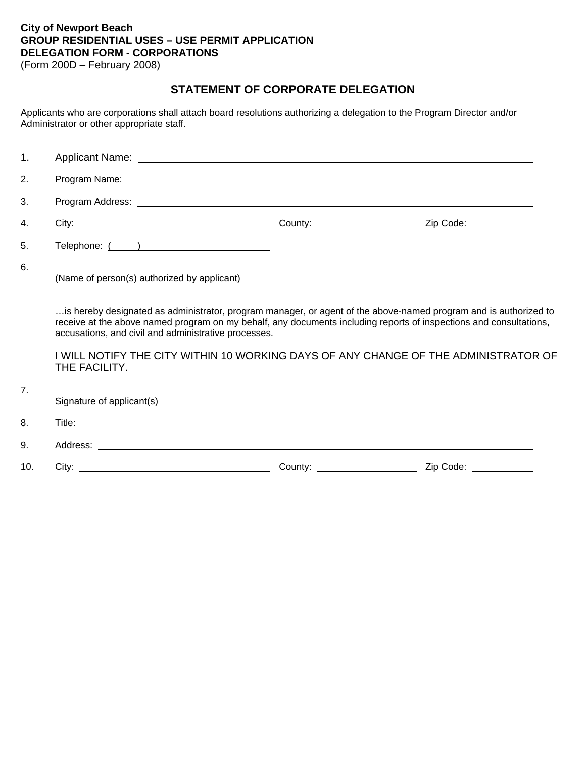## **City of Newport Beach GROUP RESIDENTIAL USES – USE PERMIT APPLICATION DELEGATION FORM - CORPORATIONS**

(Form 200D – February 2008)

## **STATEMENT OF CORPORATE DELEGATION**

Applicants who are corporations shall attach board resolutions authorizing a delegation to the Program Director and/or Administrator or other appropriate staff.

| 1. |                                             |                                              |                                |
|----|---------------------------------------------|----------------------------------------------|--------------------------------|
| 2. |                                             |                                              |                                |
| 3. |                                             |                                              |                                |
| 4. | City: City:                                 | County: <u>_____________________________</u> | Zip Code: <u>_____________</u> |
| 5. |                                             |                                              |                                |
| 6. | (Name of person(s) authorized by applicant) |                                              |                                |

…is hereby designated as administrator, program manager, or agent of the above-named program and is authorized to receive at the above named program on my behalf, any documents including reports of inspections and consultations, accusations, and civil and administrative processes.

I WILL NOTIFY THE CITY WITHIN 10 WORKING DAYS OF ANY CHANGE OF THE ADMINISTRATOR OF THE FACILITY.

| 7.  | Signature of applicant(s) |                              |                             |
|-----|---------------------------|------------------------------|-----------------------------|
| 8.  |                           |                              |                             |
| 9.  |                           |                              |                             |
| 10. |                           | County: ____________________ | Zip Code: <u>__________</u> |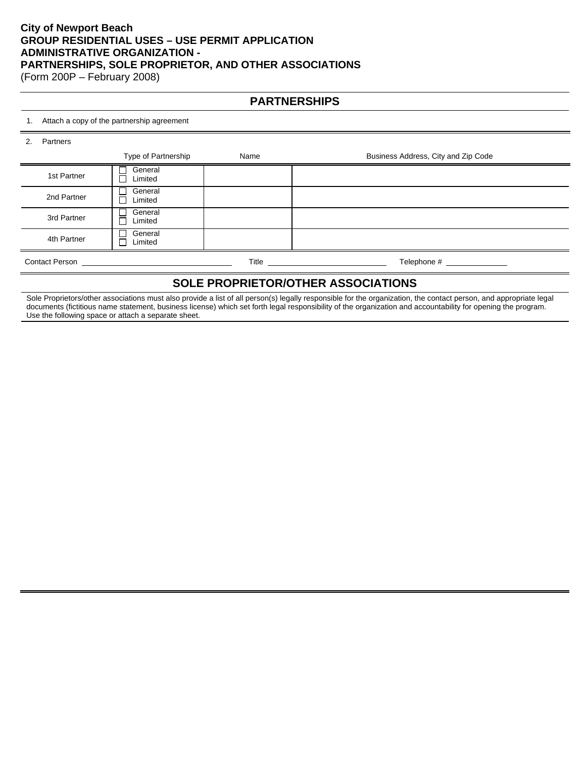## **City of Newport Beach GROUP RESIDENTIAL USES – USE PERMIT APPLICATION ADMINISTRATIVE ORGANIZATION - PARTNERSHIPS, SOLE PROPRIETOR, AND OTHER ASSOCIATIONS**

(Form 200P – February 2008)

## **PARTNERSHIPS**

#### 1. Attach a copy of the partnership agreement

| 2 <sup>2</sup> | Partners                           |                                                                                                                                                                                                                                     |       |                                     |  |  |
|----------------|------------------------------------|-------------------------------------------------------------------------------------------------------------------------------------------------------------------------------------------------------------------------------------|-------|-------------------------------------|--|--|
|                |                                    | Type of Partnership                                                                                                                                                                                                                 | Name  | Business Address, City and Zip Code |  |  |
|                | 1st Partner                        | General<br>Limited                                                                                                                                                                                                                  |       |                                     |  |  |
|                | 2nd Partner                        | General<br>Limited                                                                                                                                                                                                                  |       |                                     |  |  |
|                | 3rd Partner                        | General<br>Limited                                                                                                                                                                                                                  |       |                                     |  |  |
|                | 4th Partner                        | General<br>Limited                                                                                                                                                                                                                  |       |                                     |  |  |
|                |                                    | Contact Person <b>Exercía de Sensibilidades</b> de la contractividad de la contractividad de la contractividad de la contractividad de la contractividad de la contractividad de la contractividad de la contractividad de la contr | Title | Telephone #                         |  |  |
|                | SOLE PROPRIETOR/OTHER ASSOCIATIONS |                                                                                                                                                                                                                                     |       |                                     |  |  |

Sole Proprietors/other associations must also provide a list of all person(s) legally responsible for the organization, the contact person, and appropriate legal documents (fictitious name statement, business license) which set forth legal responsibility of the organization and accountability for opening the program. Use the following space or attach a separate sheet.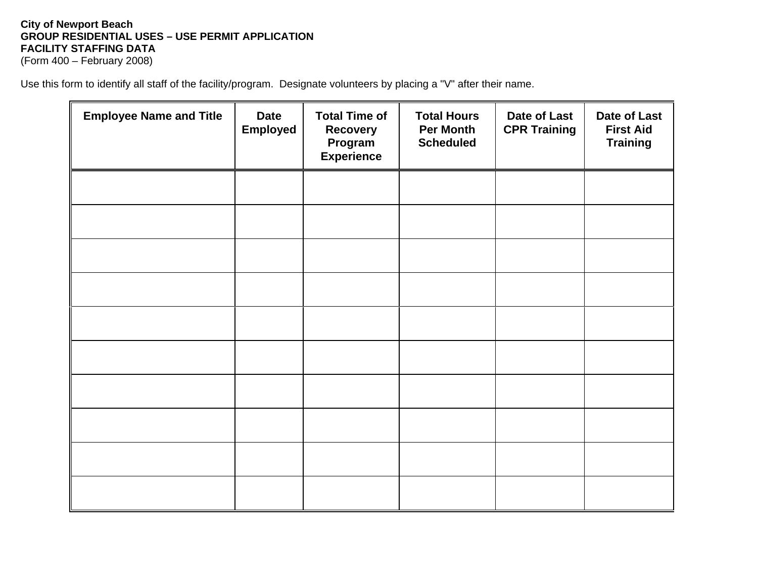## **City of Newport Beach GROUP RESIDENTIAL USES – USE PERMIT APPLICATION FACILITY STAFFING DATA**

(Form 400 – February 2008)

Use this form to identify all staff of the facility/program. Designate volunteers by placing a "V" after their name.

| <b>Employee Name and Title</b> | <b>Date</b><br><b>Employed</b> | <b>Total Time of</b><br><b>Recovery</b><br>Program<br><b>Experience</b> | <b>Total Hours</b><br><b>Per Month</b><br><b>Scheduled</b> | Date of Last<br><b>CPR Training</b> | Date of Last<br><b>First Aid</b><br><b>Training</b> |
|--------------------------------|--------------------------------|-------------------------------------------------------------------------|------------------------------------------------------------|-------------------------------------|-----------------------------------------------------|
|                                |                                |                                                                         |                                                            |                                     |                                                     |
|                                |                                |                                                                         |                                                            |                                     |                                                     |
|                                |                                |                                                                         |                                                            |                                     |                                                     |
|                                |                                |                                                                         |                                                            |                                     |                                                     |
|                                |                                |                                                                         |                                                            |                                     |                                                     |
|                                |                                |                                                                         |                                                            |                                     |                                                     |
|                                |                                |                                                                         |                                                            |                                     |                                                     |
|                                |                                |                                                                         |                                                            |                                     |                                                     |
|                                |                                |                                                                         |                                                            |                                     |                                                     |
|                                |                                |                                                                         |                                                            |                                     |                                                     |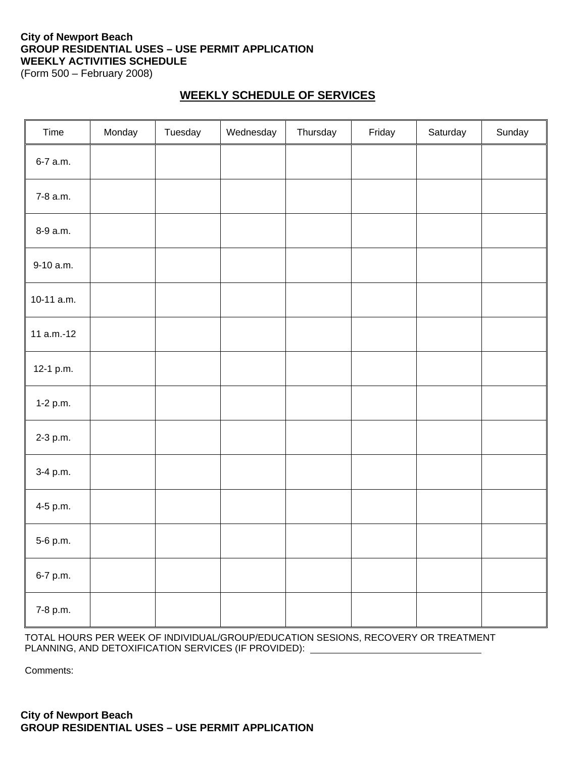#### **City of Newport Beach GROUP RESIDENTIAL USES – USE PERMIT APPLICATION WEEKLY ACTIVITIES SCHEDULE**  (Form 500 – February 2008)

## **WEEKLY SCHEDULE OF SERVICES**

| Time       | Monday | Tuesday | Wednesday | Thursday | Friday | Saturday | Sunday |
|------------|--------|---------|-----------|----------|--------|----------|--------|
| 6-7 a.m.   |        |         |           |          |        |          |        |
| 7-8 a.m.   |        |         |           |          |        |          |        |
| 8-9 a.m.   |        |         |           |          |        |          |        |
| 9-10 a.m.  |        |         |           |          |        |          |        |
| 10-11 a.m. |        |         |           |          |        |          |        |
| 11 a.m.-12 |        |         |           |          |        |          |        |
| 12-1 p.m.  |        |         |           |          |        |          |        |
| 1-2 p.m.   |        |         |           |          |        |          |        |
| 2-3 p.m.   |        |         |           |          |        |          |        |
| 3-4 p.m.   |        |         |           |          |        |          |        |
| 4-5 p.m.   |        |         |           |          |        |          |        |
| 5-6 p.m.   |        |         |           |          |        |          |        |
| 6-7 p.m.   |        |         |           |          |        |          |        |
| 7-8 p.m.   |        |         |           |          |        |          |        |

TOTAL HOURS PER WEEK OF INDIVIDUAL/GROUP/EDUCATION SESIONS, RECOVERY OR TREATMENT PLANNING, AND DETOXIFICATION SERVICES (IF PROVIDED): \_\_\_\_\_\_\_\_\_\_\_\_\_\_\_\_\_\_\_\_\_\_\_\_\_\_\_

Comments: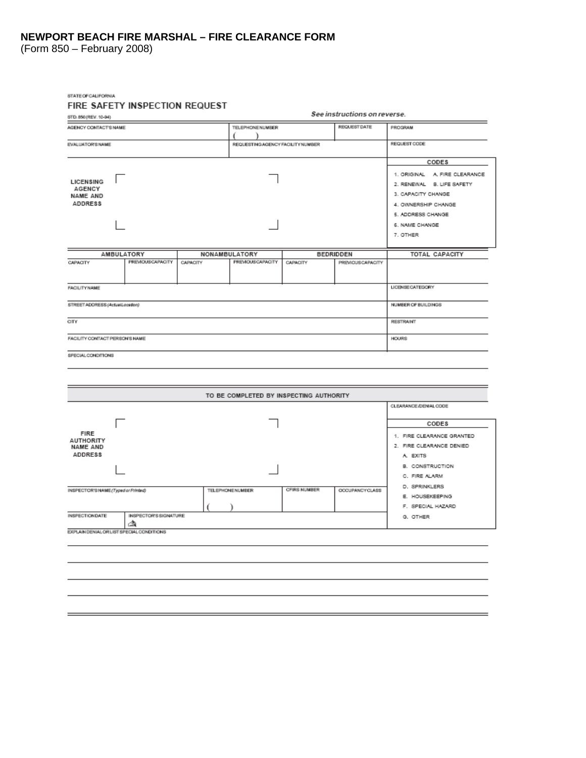#### **NEWPORT BEACH FIRE MARSHAL – FIRE CLEARANCE FORM**

(Form 850 – February 2008)

 $\equiv$ 

<u> 1980 - Jan Stein Berlin, mars and de Brasilia (b. 19</u>

#### STATE OF CALIFORNIA FIRE SAFETY INSPECTION REQUEST

| STD. 850 (REV. 10-94)                                                                             |          | See instructions on reverse.            |              |                     |                                                                                                              |
|---------------------------------------------------------------------------------------------------|----------|-----------------------------------------|--------------|---------------------|--------------------------------------------------------------------------------------------------------------|
| AGENCY CONTACT'S NAME                                                                             |          | <b>TELEPHONENUMBER</b>                  |              | <b>REQUEST DATE</b> | PROGRAM                                                                                                      |
| <b>EVALUATOR'S NAME</b>                                                                           |          | REQUESTING AGENCY FACILITY NUMBER       |              |                     | REQUEST CODE                                                                                                 |
|                                                                                                   |          |                                         |              |                     | CODES                                                                                                        |
| LICENSING<br>AGENCY<br>NAME AND<br><b>ADDRESS</b>                                                 |          |                                         |              |                     | 1. ORIGINAL A. FIRE CLEARANCE<br>2. RENEWAL B. LIFE SAFETY<br>3. CAPACITY CHANGE<br>4. OWNERSHIP CHANGE      |
|                                                                                                   |          |                                         |              |                     | 5. ADDRESS CHANGE<br>6. NAME CHANGE<br>7. OTHER                                                              |
| AMBULATORY                                                                                        |          | NONAMBULATORY                           |              | <b>BEDRIDDEN</b>    | TOTAL CAPACITY                                                                                               |
| <b>PREVIOUS CAPACITY</b><br>CAPACITY                                                              | CAPACITY | <b>PREVIOUS CAPACITY</b>                | CAPACITY     | PREVIOUSCAPACITY    |                                                                                                              |
| <b>FACILITY NAME</b>                                                                              |          |                                         |              |                     | LICENSE CATEGORY                                                                                             |
| STREET ADDRESS (ActuelLocation)                                                                   |          |                                         |              |                     | NUMBER OF BUILDINGS                                                                                          |
| CITY                                                                                              |          |                                         |              |                     | <b>RESTRAINT</b>                                                                                             |
| FACILITY CONTACT PERSON'S NAME                                                                    |          |                                         |              |                     | HOURS                                                                                                        |
| SPECIAL CONDITIONS                                                                                |          |                                         |              |                     |                                                                                                              |
|                                                                                                   |          | TO BE COMPLETED BY INSPECTING AUTHORITY |              |                     |                                                                                                              |
|                                                                                                   |          |                                         |              |                     | CLEARANCE/DENIALCODE                                                                                         |
|                                                                                                   |          |                                         |              |                     | CODES                                                                                                        |
| FIRE<br>AUTHORITY<br>NAME AND<br><b>ADDRESS</b>                                                   |          |                                         |              |                     | 1. FIRE CLEARANCE GRANTED<br>2. FIRE CLEARANCE DENIED<br>A. EXITS<br><b>B. CONSTRUCTION</b><br>C. FIRE ALARM |
| INSPECTOR'S NAME (Typed or Printed)                                                               |          | <b>TELEPHONENUMBER</b>                  | CFIRS NUMBER | OCCUPANCY CLASS     | D. SPRINKLERS<br>E. HOUSEKEEPING<br>F. SPECIAL HAZARD                                                        |
| <b>INSPECTION DATE</b><br>INSPECTOR'S SIGNATURE<br>a<br>EXPLAIN DENIAL OR LIST SPECIAL CONDITIONS |          |                                         |              | G. OTHER            |                                                                                                              |
|                                                                                                   |          |                                         |              |                     |                                                                                                              |

 $=$